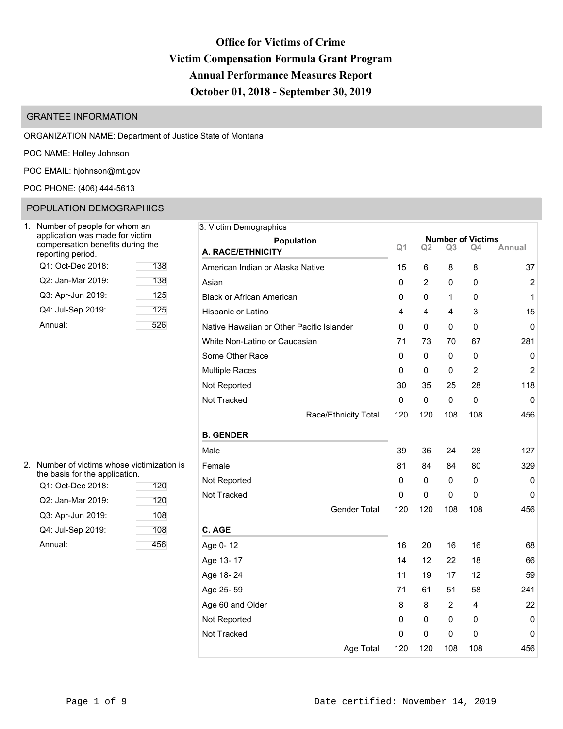# **Office for Victims of Crime Victim Compensation Formula Grant Program Annual Performance Measures Report October 01, 2018 - September 30, 2019**

# GRANTEE INFORMATION

ORGANIZATION NAME: Department of Justice State of Montana

POC NAME: Holley Johnson

POC EMAIL: [hjohnson@mt.gov](mailto:hjohnson@mt.gov)

POC PHONE: (406) 444-5613

# POPULATION DEMOGRAPHICS

| Number of people for whom an<br>application was made for victim<br>compensation benefits during the<br>reporting period. |     |
|--------------------------------------------------------------------------------------------------------------------------|-----|
| Q1: Oct-Dec 2018:                                                                                                        | 138 |
| Q2: Jan-Mar 2019:                                                                                                        | 138 |
| Q3: Apr-Jun 2019:                                                                                                        | 125 |
| Q4: Jul-Sep 2019:                                                                                                        | 125 |
| Annual:                                                                                                                  | 52t |

| Jumber of people for whom an                                        |     | 3. Victim Demographics                    |             |                |                |                                |                |
|---------------------------------------------------------------------|-----|-------------------------------------------|-------------|----------------|----------------|--------------------------------|----------------|
| application was made for victim<br>compensation benefits during the |     | <b>Population</b>                         | Q1          | Q <sub>2</sub> | Q <sub>3</sub> | <b>Number of Victims</b><br>Q4 | Annual         |
| eporting period.                                                    |     | A. RACE/ETHNICITY                         |             |                |                |                                |                |
| Q1: Oct-Dec 2018:                                                   | 138 | American Indian or Alaska Native          | 15          | 6              | 8              | 8                              | 37             |
| Q2: Jan-Mar 2019:                                                   | 138 | Asian                                     | 0           | 2              | $\mathbf{0}$   | 0                              | 2              |
| Q3: Apr-Jun 2019:                                                   | 125 | <b>Black or African American</b>          | 0           | 0              | 1              | 0                              | 1              |
| Q4: Jul-Sep 2019:                                                   | 125 | Hispanic or Latino                        | 4           | 4              | 4              | 3                              | 15             |
| Annual:                                                             | 526 | Native Hawaiian or Other Pacific Islander | 0           | 0              | 0              | 0                              | 0              |
|                                                                     |     | White Non-Latino or Caucasian             | 71          | 73             | 70             | 67                             | 281            |
|                                                                     |     | Some Other Race                           | 0           | 0              | 0              | 0                              | 0              |
|                                                                     |     | <b>Multiple Races</b>                     | 0           | 0              | 0              | $\overline{2}$                 | $\overline{2}$ |
|                                                                     |     | Not Reported                              | 30          | 35             | 25             | 28                             | 118            |
|                                                                     |     | Not Tracked                               | $\mathbf 0$ | $\mathbf 0$    | $\mathbf 0$    | 0                              | $\mathbf 0$    |
|                                                                     |     | Race/Ethnicity Total                      | 120         | 120            | 108            | 108                            | 456            |
|                                                                     |     | <b>B. GENDER</b>                          |             |                |                |                                |                |
|                                                                     |     | Male                                      | 39          | 36             | 24             | 28                             | 127            |
| Number of victims whose victimization is                            |     | Female                                    | 81          | 84             | 84             | 80                             | 329            |
| he basis for the application.<br>Q1: Oct-Dec 2018:                  | 120 | Not Reported                              | 0           | 0              | 0              | 0                              | 0              |
|                                                                     | 120 | Not Tracked                               | $\mathbf 0$ | $\mathbf 0$    | 0              | $\mathbf{0}$                   | 0              |
| Q2: Jan-Mar 2019:                                                   |     | <b>Gender Total</b>                       | 120         | 120            | 108            | 108                            | 456            |
| Q3: Apr-Jun 2019:                                                   | 108 |                                           |             |                |                |                                |                |
| Q4: Jul-Sep 2019:                                                   | 108 | C. AGE                                    |             |                |                |                                |                |
| Annual:                                                             | 456 | Age 0-12                                  | 16          | 20             | 16             | 16                             | 68             |
|                                                                     |     | Age 13-17                                 | 14          | 12             | 22             | 18                             | 66             |
|                                                                     |     | Age 18-24                                 | 11          | 19             | 17             | 12                             | 59             |
|                                                                     |     | Age 25-59                                 | 71          | 61             | 51             | 58                             | 241            |
|                                                                     |     | Age 60 and Older                          | 8           | 8              | 2              | 4                              | 22             |
|                                                                     |     | Not Reported                              | 0           | 0              | 0              | 0                              | 0              |
|                                                                     |     | Not Tracked                               | 0           | 0              | 0              | 0                              | 0              |
|                                                                     |     | Age Total                                 | 120         | 120            | 108            | 108                            | 456            |

| 2. Number of victims whose victimization is |
|---------------------------------------------|
| the basis for the application.              |

| Q1: Oct-Dec 2018: | 120 | 11011100 |
|-------------------|-----|----------|
| Q2: Jan-Mar 2019: | 120 | Not Trac |
| Q3: Apr-Jun 2019: | 108 |          |
| Q4: Jul-Sep 2019: | 108 | C. AGE   |
| Annual:           | 456 | Age 0-1  |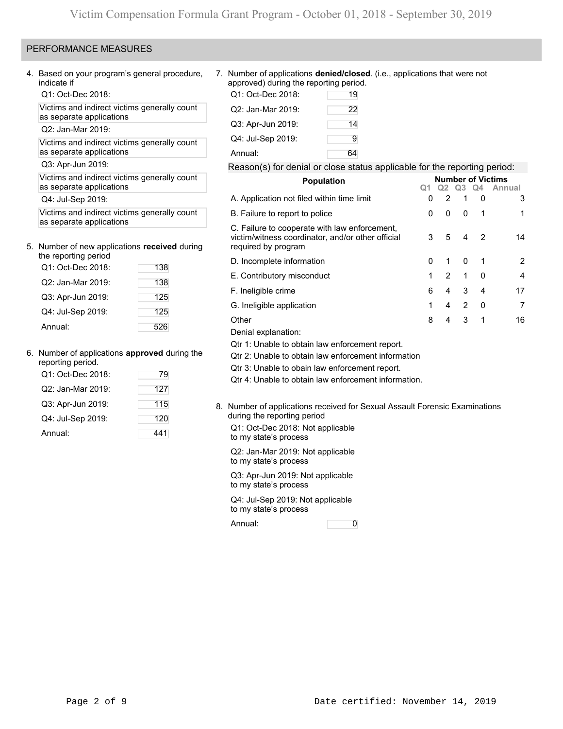## PERFORMANCE MEASURES

4. Based on your program's general procedure, indicate if

Q1: Oct-Dec 2018:

Victims and indirect victims generally count as separate applications

Q2: Jan-Mar 2019:

Victims and indirect victims generally count as separate applications

Q3: Apr-Jun 2019:

Victims and indirect victims generally count as separate applications

Q4: Jul-Sep 2019:

Victims and indirect victims generally count as separate applications

# 5. Number of new applications **received** during

| the reporting period |     |
|----------------------|-----|
| Q1: Oct-Dec 2018:    | 138 |
| Q2: Jan-Mar 2019:    | 138 |
| Q3: Apr-Jun 2019:    | 125 |
| Q4: Jul-Sep 2019:    | 125 |
| Annual:              | 526 |

### 6. Number of applications **approved** during the

| reporting period.<br>Q1: Oct-Dec 2018: | 79  |
|----------------------------------------|-----|
| Q2: Jan-Mar 2019:                      | 127 |
| Q3: Apr-Jun 2019:                      | 115 |
| Q4: Jul-Sep 2019:                      | 120 |
| Annual:                                | 441 |

7. Number of applications **denied/closed**. (i.e., applications that were not approved) during the reporting period.

| Q1: Oct-Dec 2018: | 19 |
|-------------------|----|
| Q2: Jan-Mar 2019: | 22 |
| Q3: Apr-Jun 2019: | 14 |
| Q4: Jul-Sep 2019: | 9  |
| Annual:           | 64 |

### Reason(s) for denial or close status applicable for the reporting period:

| <b>Population</b>                                                                                                         |   |                |                |          | <b>Number of Victims</b> |
|---------------------------------------------------------------------------------------------------------------------------|---|----------------|----------------|----------|--------------------------|
|                                                                                                                           |   | Q2             | Q <sub>3</sub> | . Q4     | Annual                   |
| A. Application not filed within time limit                                                                                | 0 | $\overline{2}$ | 1              | 0        | 3                        |
| B. Failure to report to police                                                                                            | 0 | 0              | 0              | -1       | 1                        |
| C. Failure to cooperate with law enforcement,<br>victim/witness coordinator, and/or other official<br>required by program | 3 | 5              | 4              | 2        | 14                       |
| D. Incomplete information                                                                                                 | O | 1              | $\Omega$       |          | $\overline{2}$           |
| E. Contributory misconduct                                                                                                | 1 | $\mathcal{P}$  | 1              | $\Omega$ | 4                        |
| F. Ineligible crime                                                                                                       | 6 | 4              | 3              | 4        | 17                       |
| G. Ineligible application                                                                                                 | 1 | 4              | 2              | $\Omega$ | 7                        |
| Other                                                                                                                     | 8 | 4              | 3              | 1        | 16                       |
| .                                                                                                                         |   |                |                |          |                          |

Denial explanation:

Qtr 1: Unable to obtain law enforcement report.

Qtr 2: Unable to obtain law enforcement information

Qtr 3: Unable to obain law enforcement report.

Qtr 4: Unable to obtain law enforcement information.

8. Number of applications received for Sexual Assault Forensic Examinations during the reporting period Q1: Oct-Dec 2018: Not applicable to my state's process

Q2: Jan-Mar 2019: Not applicable to my state's process

Q3: Apr-Jun 2019: Not applicable to my state's process

Q4: Jul-Sep 2019: Not applicable to my state's process

Annual: 0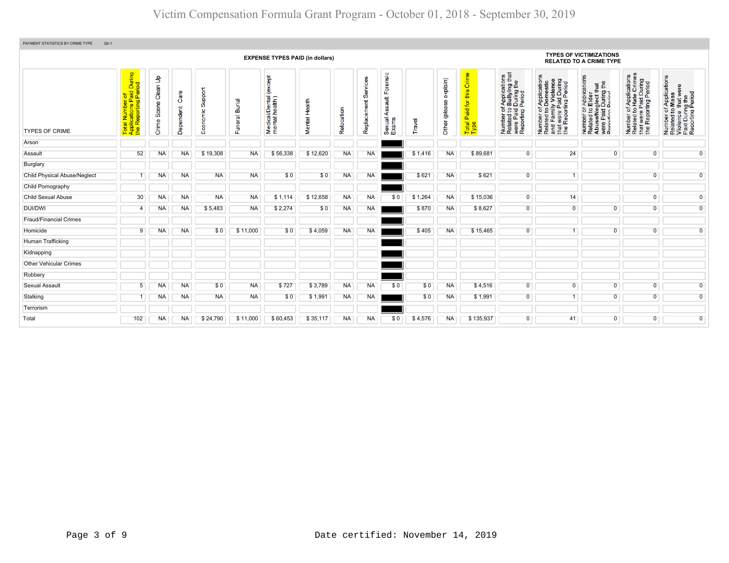| PAYMENT STATISTICS BY CRIME TYPE<br>Qtr:1 |                                                                                                                          |                 |                |                         |                          |                                           |                  |            |             |                                           |         |                  |                                            |                                                                                                                       |                                                                                                                       |                                                                                                              |                                                                                                                        |                                                                                                        |
|-------------------------------------------|--------------------------------------------------------------------------------------------------------------------------|-----------------|----------------|-------------------------|--------------------------|-------------------------------------------|------------------|------------|-------------|-------------------------------------------|---------|------------------|--------------------------------------------|-----------------------------------------------------------------------------------------------------------------------|-----------------------------------------------------------------------------------------------------------------------|--------------------------------------------------------------------------------------------------------------|------------------------------------------------------------------------------------------------------------------------|--------------------------------------------------------------------------------------------------------|
|                                           | <b>EXPENSE TYPES PAID (in dollars)</b><br>Forensic<br>During<br>iod<br>except<br>Clean Up<br>Services<br>explain)<br>노 호 |                 |                |                         |                          |                                           |                  |            |             |                                           |         |                  |                                            |                                                                                                                       |                                                                                                                       | <b>TYPES OF VICTIMIZATIONS</b><br><b>RELATED TO A CRIME TYPE</b>                                             |                                                                                                                        |                                                                                                        |
| <b>TYPES OF CRIME</b>                     | ber of<br>ns Paid<br>ting Per<br>iotal Numbe<br>∖pplications l<br>he Reporting<br>⊢∢£                                    | Scene<br>Crime: | Ő<br>Dependent | upport<br>ശ<br>Economic | <b>Burial</b><br>Funeral | /Dental<br>health)<br>Medical<br>mental l | Health<br>Mental | Relocation | Replacement | tile<br>auf<br>g<br>⋖<br>Sexual.<br>Exams | Travel  | 8<br>Other (plea | Crime<br>this<br>Paid for<br>Total<br>Type | f Applications<br>b Bullying that<br>I During the<br>Period<br>Number of,<br>Related to I<br>were Paid<br>Reporting F | Number of Applications<br>Related to Domestic<br>and Family Violence<br>that were Paid During<br>the Reporting Period | Number or Applications<br>Related to Elder<br>Abuse/Neglect that<br>were Paid During the<br>Renorting Period | mber of Applications<br>Iated to Hate Crimes<br>at were Paid During<br>9 Reporting Period<br>Number<br>Related t<br>Ĕ£ | Number of Applications<br>Related to Mass<br>Violence that were<br>Paid During the<br>Reporting Period |
| Arson                                     |                                                                                                                          |                 |                |                         |                          |                                           |                  |            |             |                                           |         |                  |                                            |                                                                                                                       |                                                                                                                       |                                                                                                              |                                                                                                                        |                                                                                                        |
| Assault                                   | 52                                                                                                                       | NA              | NA             | \$19,308                | NA                       | \$56,338                                  | \$12,620         | <b>NA</b>  | <b>NA</b>   |                                           | \$1,416 | <b>NA</b>        | \$89,681                                   | $\overline{0}$                                                                                                        | 24                                                                                                                    | $\overline{0}$                                                                                               | $\overline{0}$                                                                                                         | $\overline{0}$                                                                                         |
| Burglary                                  |                                                                                                                          |                 |                |                         |                          |                                           |                  |            |             |                                           |         |                  |                                            |                                                                                                                       |                                                                                                                       |                                                                                                              |                                                                                                                        |                                                                                                        |
| <b>Child Physical Abuse/Neglect</b>       |                                                                                                                          | NA              | <b>NA</b>      | <b>NA</b>               | <b>NA</b>                | \$0                                       | \$0              | <b>NA</b>  | <b>NA</b>   |                                           | \$621   | NA               | \$621                                      | $\overline{0}$                                                                                                        | $\overline{1}$                                                                                                        |                                                                                                              | $\mathbf{0}$                                                                                                           | $\overline{0}$                                                                                         |
| Child Pornography                         |                                                                                                                          |                 |                |                         |                          |                                           |                  |            |             |                                           |         |                  |                                            |                                                                                                                       |                                                                                                                       |                                                                                                              |                                                                                                                        |                                                                                                        |
| <b>Child Sexual Abuse</b>                 | 30                                                                                                                       | <b>NA</b>       | NA             | <b>NA</b>               | <b>NA</b>                | \$1,114                                   | \$12,658         | <b>NA</b>  | <b>NA</b>   | \$0                                       | \$1,264 | NA               | \$15,036                                   | $\overline{0}$                                                                                                        | 14                                                                                                                    |                                                                                                              | $\overline{0}$                                                                                                         | $\overline{0}$                                                                                         |
| <b>DUI/DWI</b>                            | $\overline{4}$                                                                                                           | NA              | NA             | \$5,483                 | <b>NA</b>                | \$2,274                                   | \$0              | <b>NA</b>  | <b>NA</b>   |                                           | \$870   | NA               | \$8,627                                    | $\overline{0}$                                                                                                        | $\mathbf 0$                                                                                                           | $\overline{0}$                                                                                               | $\overline{0}$                                                                                                         | $\overline{0}$                                                                                         |
| <b>Fraud/Financial Crimes</b>             |                                                                                                                          |                 |                |                         |                          |                                           |                  |            |             |                                           |         |                  |                                            |                                                                                                                       |                                                                                                                       |                                                                                                              |                                                                                                                        |                                                                                                        |
| Homicide                                  | 9                                                                                                                        | NA              | <b>NA</b>      | \$0                     | \$11,000                 | \$0                                       | \$4,059          | <b>NA</b>  | <b>NA</b>   |                                           | \$405   | <b>NA</b>        | \$15,465                                   | $\Omega$                                                                                                              | $\mathbf{1}$                                                                                                          | $\overline{0}$                                                                                               | $\overline{0}$                                                                                                         | $\overline{0}$                                                                                         |
| Human Trafficking                         |                                                                                                                          |                 |                |                         |                          |                                           |                  |            |             |                                           |         |                  |                                            |                                                                                                                       |                                                                                                                       |                                                                                                              |                                                                                                                        |                                                                                                        |
| Kidnapping                                |                                                                                                                          |                 |                |                         |                          |                                           |                  |            |             |                                           |         |                  |                                            |                                                                                                                       |                                                                                                                       |                                                                                                              |                                                                                                                        |                                                                                                        |
| <b>Other Vehicular Crimes</b>             |                                                                                                                          |                 |                |                         |                          |                                           |                  |            |             |                                           |         |                  |                                            |                                                                                                                       |                                                                                                                       |                                                                                                              |                                                                                                                        |                                                                                                        |
| Robbery                                   |                                                                                                                          |                 |                |                         |                          |                                           |                  |            |             |                                           |         |                  |                                            |                                                                                                                       |                                                                                                                       |                                                                                                              |                                                                                                                        |                                                                                                        |
| <b>Sexual Assault</b>                     | 5                                                                                                                        | <b>NA</b>       | <b>NA</b>      | \$0                     | <b>NA</b>                | \$727                                     | \$3,789          | <b>NA</b>  | NA          | \$0                                       | \$0     | NA               | \$4,516                                    | $\mathbf 0$                                                                                                           | $\overline{0}$                                                                                                        | $\overline{0}$                                                                                               | $\overline{0}$                                                                                                         | $\overline{0}$                                                                                         |
| Stalking                                  | 1                                                                                                                        | NA              | NA             | <b>NA</b>               | NA                       | \$0                                       | \$1,991          | <b>NA</b>  | NA          |                                           | \$0     | NA               | \$1,991                                    | $\overline{0}$                                                                                                        | 1                                                                                                                     | $\overline{0}$                                                                                               | $\overline{0}$                                                                                                         | $\overline{0}$                                                                                         |
| Terrorism                                 |                                                                                                                          |                 |                |                         |                          |                                           |                  |            |             |                                           |         |                  |                                            |                                                                                                                       |                                                                                                                       |                                                                                                              |                                                                                                                        |                                                                                                        |
| Total                                     | 102                                                                                                                      | <b>NA</b>       | NA.            | \$24.790                | \$11.000                 | \$60.453                                  | \$35.117         | <b>NA</b>  | <b>NA</b>   | SO.                                       | \$4,576 | <b>NA</b>        | \$135.937                                  | $\overline{0}$                                                                                                        | 41                                                                                                                    | $\overline{0}$                                                                                               | $\overline{0}$                                                                                                         | $\overline{0}$                                                                                         |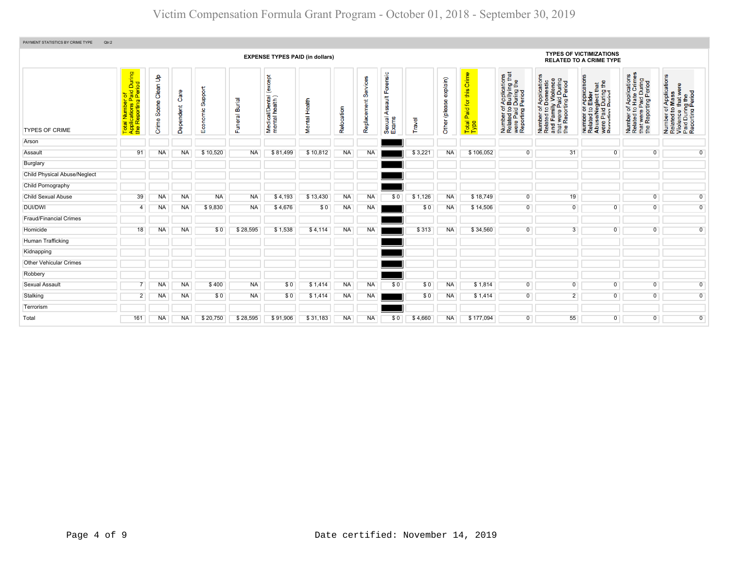| PAYMENT STATISTICS BY CRIME TYPE<br>Qtr:2 |                                                                                                                         |                                         |                   |                     |                          |                                            |                         |            |                         |                                                                                                                                                                                                                                                                            |         |                              |                                                |                                                                                                                                               |                                                                                                                       |                                                                                                              |                                                                                                   |                                                                                                        |  |  |  |  |  |
|-------------------------------------------|-------------------------------------------------------------------------------------------------------------------------|-----------------------------------------|-------------------|---------------------|--------------------------|--------------------------------------------|-------------------------|------------|-------------------------|----------------------------------------------------------------------------------------------------------------------------------------------------------------------------------------------------------------------------------------------------------------------------|---------|------------------------------|------------------------------------------------|-----------------------------------------------------------------------------------------------------------------------------------------------|-----------------------------------------------------------------------------------------------------------------------|--------------------------------------------------------------------------------------------------------------|---------------------------------------------------------------------------------------------------|--------------------------------------------------------------------------------------------------------|--|--|--|--|--|
|                                           | <b>EXPENSE TYPES PAID (in dollars)</b>                                                                                  |                                         |                   |                     |                          |                                            |                         |            |                         |                                                                                                                                                                                                                                                                            |         |                              |                                                |                                                                                                                                               |                                                                                                                       | <b>TYPES OF VICTIMIZATIONS</b><br><b>RELATED TO A CRIME TYPE</b>                                             |                                                                                                   |                                                                                                        |  |  |  |  |  |
| <b>TYPES OF CRIME</b>                     | During<br>iod<br>$\overline{\mathbf{z}}$<br>al Number of<br>plications Paic<br>Reporting Pe<br>Total<br>Applic<br>the R | $\mathbf{e}$<br>Clean<br>Scene<br>Crime | Care<br>Dependent | Support<br>Economic | <b>Burial</b><br>Funeral | except<br>Medical/Dental<br>mental health) | Health<br><b>Mental</b> | Relocation | Services<br>Replacement | Forensic<br>tigation.<br>The pair of the set of the set of the set of the set of the set of the set of the set of the set of the set of the set of the set of the set of the set of the set of the set of the set of the set of the set of th<br>8<br>⋖<br>Sexual<br>Exams | Travel  | explain)<br>9<br>Other (plea | Crim<br>this<br>aid for<br>ő.<br>Total<br>Type | of Applications<br>b Bullying that<br>I Period<br>I Period<br>Number of,<br>Related to I<br>were Paid I<br>Reporting F<br>Number<br>Related t | Number of Applications<br>Related to Domestic<br>and Family Violence<br>that were Paid During<br>the Reporting Period | Number or Applications<br>Related to Elder<br>Abuse/Neglect that<br>were Paid During the<br>Renorting Period | Number of Applications<br>Related to Hate Crimes<br>that were Paid During<br>the Reporting Period | Number of Applications<br>Related to Mass<br>Violence that were<br>Paid During the<br>Reporting Period |  |  |  |  |  |
| Arson                                     |                                                                                                                         |                                         |                   |                     |                          |                                            |                         |            |                         |                                                                                                                                                                                                                                                                            |         |                              |                                                |                                                                                                                                               |                                                                                                                       |                                                                                                              |                                                                                                   |                                                                                                        |  |  |  |  |  |
| Assault                                   | 91                                                                                                                      | NA                                      | <b>NA</b>         | \$10,520            | <b>NA</b>                | \$81,499                                   | \$10,812                | <b>NA</b>  | NA                      |                                                                                                                                                                                                                                                                            | \$3,221 | <b>NA</b>                    | \$106,052                                      | $\overline{0}$                                                                                                                                | 31                                                                                                                    | $\overline{0}$                                                                                               | $\overline{0}$                                                                                    | $\overline{0}$                                                                                         |  |  |  |  |  |
| Burglary                                  |                                                                                                                         |                                         |                   |                     |                          |                                            |                         |            |                         |                                                                                                                                                                                                                                                                            |         |                              |                                                |                                                                                                                                               |                                                                                                                       |                                                                                                              |                                                                                                   |                                                                                                        |  |  |  |  |  |
| Child Physical Abuse/Neglect              |                                                                                                                         |                                         |                   |                     |                          |                                            |                         |            |                         |                                                                                                                                                                                                                                                                            |         |                              |                                                |                                                                                                                                               |                                                                                                                       |                                                                                                              |                                                                                                   |                                                                                                        |  |  |  |  |  |
| Child Pornography                         |                                                                                                                         |                                         |                   |                     |                          |                                            |                         |            |                         |                                                                                                                                                                                                                                                                            |         |                              |                                                |                                                                                                                                               |                                                                                                                       |                                                                                                              |                                                                                                   |                                                                                                        |  |  |  |  |  |
| <b>Child Sexual Abuse</b>                 | 39                                                                                                                      | NA.                                     | NA                | <b>NA</b>           | <b>NA</b>                | \$4.193                                    | \$13,430                | <b>NA</b>  | <b>NA</b>               | \$0                                                                                                                                                                                                                                                                        | \$1,126 | <b>NA</b>                    | \$18,749                                       | $\overline{0}$                                                                                                                                | 19                                                                                                                    |                                                                                                              | $\overline{0}$                                                                                    | $\overline{0}$                                                                                         |  |  |  |  |  |
| <b>DUI/DWI</b>                            | $\overline{\bf{4}}$                                                                                                     | NA                                      | NA.               | \$9,830             | <b>NA</b>                | \$4,676                                    | \$0                     | <b>NA</b>  | NA                      |                                                                                                                                                                                                                                                                            | \$0     | <b>NA</b>                    | \$14,506                                       | $\overline{0}$                                                                                                                                | $\overline{0}$                                                                                                        | $\Omega$                                                                                                     | $\overline{0}$                                                                                    | $\overline{0}$                                                                                         |  |  |  |  |  |
| <b>Fraud/Financial Crimes</b>             |                                                                                                                         |                                         |                   |                     |                          |                                            |                         |            |                         |                                                                                                                                                                                                                                                                            |         |                              |                                                |                                                                                                                                               |                                                                                                                       |                                                                                                              |                                                                                                   |                                                                                                        |  |  |  |  |  |
| Homicide                                  | 18                                                                                                                      | NA                                      | <b>NA</b>         | \$0                 | \$28,595                 | \$1,538                                    | \$4,114                 | <b>NA</b>  | NA                      |                                                                                                                                                                                                                                                                            | \$313   | <b>NA</b>                    | \$34,560                                       | $\overline{0}$                                                                                                                                | $\overline{3}$                                                                                                        | $\overline{0}$                                                                                               | $\overline{0}$                                                                                    | $\overline{0}$                                                                                         |  |  |  |  |  |
| Human Trafficking                         |                                                                                                                         |                                         |                   |                     |                          |                                            |                         |            |                         |                                                                                                                                                                                                                                                                            |         |                              |                                                |                                                                                                                                               |                                                                                                                       |                                                                                                              |                                                                                                   |                                                                                                        |  |  |  |  |  |
| Kidnapping                                |                                                                                                                         |                                         |                   |                     |                          |                                            |                         |            |                         |                                                                                                                                                                                                                                                                            |         |                              |                                                |                                                                                                                                               |                                                                                                                       |                                                                                                              |                                                                                                   |                                                                                                        |  |  |  |  |  |
| <b>Other Vehicular Crimes</b>             |                                                                                                                         |                                         |                   |                     |                          |                                            |                         |            |                         |                                                                                                                                                                                                                                                                            |         |                              |                                                |                                                                                                                                               |                                                                                                                       |                                                                                                              |                                                                                                   |                                                                                                        |  |  |  |  |  |
| Robbery                                   |                                                                                                                         |                                         |                   |                     |                          |                                            |                         |            |                         |                                                                                                                                                                                                                                                                            |         |                              |                                                |                                                                                                                                               |                                                                                                                       |                                                                                                              |                                                                                                   |                                                                                                        |  |  |  |  |  |
| <b>Sexual Assault</b>                     |                                                                                                                         | NA                                      | ΝA                | \$400               | <b>NA</b>                | \$0                                        | \$1,414                 | <b>NA</b>  | NA                      | \$0                                                                                                                                                                                                                                                                        | \$0     | NA                           | \$1,814                                        | $\overline{0}$                                                                                                                                | $\overline{0}$                                                                                                        | $\overline{0}$                                                                                               | $\overline{0}$                                                                                    | $\overline{0}$                                                                                         |  |  |  |  |  |
| Stalking                                  | $\overline{2}$                                                                                                          | NA                                      | NA                | \$0                 | <b>NA</b>                | \$0                                        | \$1,414                 | <b>NA</b>  | NA                      |                                                                                                                                                                                                                                                                            | \$0     | <b>NA</b>                    | \$1,414                                        | $\overline{0}$                                                                                                                                | $\overline{2}$                                                                                                        | $\overline{0}$                                                                                               | $\overline{0}$                                                                                    | $\overline{0}$                                                                                         |  |  |  |  |  |
| Terrorism                                 |                                                                                                                         |                                         |                   |                     |                          |                                            |                         |            |                         |                                                                                                                                                                                                                                                                            |         |                              |                                                |                                                                                                                                               |                                                                                                                       |                                                                                                              |                                                                                                   |                                                                                                        |  |  |  |  |  |
| Total                                     | 161                                                                                                                     | NA                                      | NA                | \$20,750            | \$28,595                 | \$91,906                                   | \$31,183                | <b>NA</b>  | NA                      | \$0                                                                                                                                                                                                                                                                        | \$4,660 | <b>NA</b>                    | \$177,094                                      | $\Omega$                                                                                                                                      | 55                                                                                                                    | $\Omega$                                                                                                     | $\overline{0}$                                                                                    | $\overline{0}$                                                                                         |  |  |  |  |  |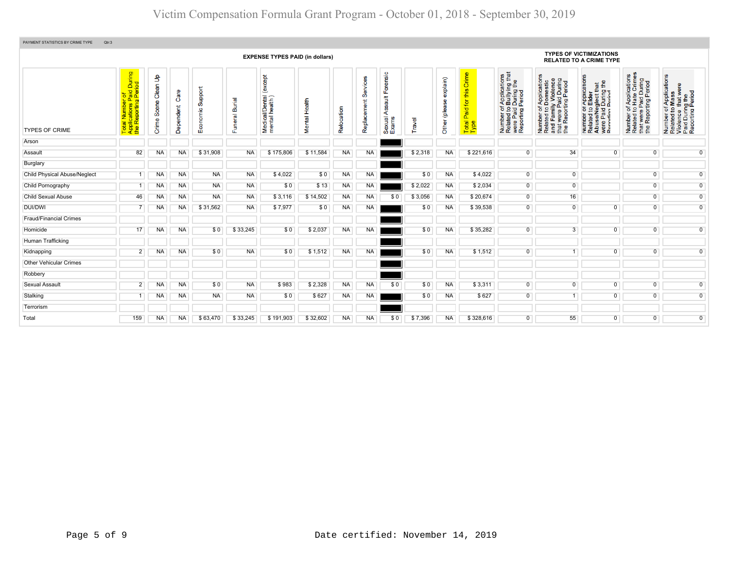| PAYMENT STATISTICS BY CRIME TYPE<br>Qtr:3 |                                                                                                 |                               |                   |                             |                          |                                              |                         |            |                         |                                                       |         |                              |                                            |                                                                                                                       |                                                                                                                       |                                                                                                                                             |                                                                                                                              |                                                                                                        |  |  |  |  |  |
|-------------------------------------------|-------------------------------------------------------------------------------------------------|-------------------------------|-------------------|-----------------------------|--------------------------|----------------------------------------------|-------------------------|------------|-------------------------|-------------------------------------------------------|---------|------------------------------|--------------------------------------------|-----------------------------------------------------------------------------------------------------------------------|-----------------------------------------------------------------------------------------------------------------------|---------------------------------------------------------------------------------------------------------------------------------------------|------------------------------------------------------------------------------------------------------------------------------|--------------------------------------------------------------------------------------------------------|--|--|--|--|--|
|                                           | <b>EXPENSE TYPES PAID (in dollars)</b>                                                          |                               |                   |                             |                          |                                              |                         |            |                         |                                                       |         |                              |                                            |                                                                                                                       |                                                                                                                       | <b>TYPES OF VICTIMIZATIONS</b><br><b>RELATED TO A CRIME TYPE</b>                                                                            |                                                                                                                              |                                                                                                        |  |  |  |  |  |
| <b>TYPES OF CRIME</b>                     | During<br>iod<br>tal Number of<br>plications Paid I<br>› Reporting Perio<br>Late<br>Nobel<br>⊢∢ | နှ<br>Clean<br>Scene<br>Crime | Care<br>Dependent | Support<br>nomic<br>8<br>шī | <b>Burial</b><br>Funeral | except<br>Medical/Dental (<br>mental health) | Health<br><b>Mental</b> | Relocation | Services<br>Replacement | ensic<br>ā<br>u.<br>ault<br>g<br>∢<br>Sexual<br>Exams | Travel  | explain)<br>இ<br>Other (plea | Crime<br>this<br>Paid for<br>Total<br>Type | g #<br>f Application<br>b Bullying the<br>Period<br>Period<br>Number of<br>Related to I<br>were Paid I<br>Reporting F | Number of Applications<br>Related to Domestic<br>and Family Violence<br>that were Paid During<br>the Reporting Period | n Application:<br>De Elder<br>Paglect that<br>I During the בחברות<br>Number or A<br>Related to E<br>Abuse/Neg<br>Were Paid L<br>Renorting P | mber of Applications<br>lated to Hate Crimes<br>at were Paid During<br>9 Reporting Period<br>Number<br>Related t<br>te<br>## | Number of Applications<br>Related to Mass<br>Violence that were<br>Paid During the<br>Reporting Period |  |  |  |  |  |
| Arson                                     |                                                                                                 |                               |                   |                             |                          |                                              |                         |            |                         |                                                       |         |                              |                                            |                                                                                                                       |                                                                                                                       |                                                                                                                                             |                                                                                                                              |                                                                                                        |  |  |  |  |  |
| Assault                                   | 82                                                                                              | NA                            | <b>NA</b>         | \$31,908                    | <b>NA</b>                | \$175,806                                    | \$11,584                | NA.        | <b>NA</b>               |                                                       | \$2,318 | <b>NA</b>                    | \$221,616                                  | $\overline{0}$                                                                                                        | 34                                                                                                                    | $\overline{0}$                                                                                                                              | $\overline{0}$                                                                                                               | $\overline{0}$                                                                                         |  |  |  |  |  |
| Burglary                                  |                                                                                                 |                               |                   |                             |                          |                                              |                         |            |                         |                                                       |         |                              |                                            |                                                                                                                       |                                                                                                                       |                                                                                                                                             |                                                                                                                              |                                                                                                        |  |  |  |  |  |
| <b>Child Physical Abuse/Neglect</b>       |                                                                                                 | <b>NA</b>                     | <b>NA</b>         | <b>NA</b>                   | <b>NA</b>                | \$4,022                                      | \$0                     | <b>NA</b>  | <b>NA</b>               |                                                       | \$0     | <b>NA</b>                    | \$4,022                                    | $\overline{0}$                                                                                                        | $\overline{0}$                                                                                                        |                                                                                                                                             | $\overline{0}$                                                                                                               | $\overline{0}$                                                                                         |  |  |  |  |  |
| Child Pornography                         |                                                                                                 | NA                            | <b>NA</b>         | <b>NA</b>                   | <b>NA</b>                | \$0                                          | \$13                    | NA         | <b>NA</b>               |                                                       | \$2,022 | <b>NA</b>                    | \$2,034                                    | $\overline{0}$                                                                                                        | $\overline{0}$                                                                                                        |                                                                                                                                             | $\overline{0}$                                                                                                               | $\overline{0}$                                                                                         |  |  |  |  |  |
| <b>Child Sexual Abuse</b>                 | 46                                                                                              | NA                            | <b>NA</b>         | <b>NA</b>                   | <b>NA</b>                | \$3,116                                      | \$14,502                | <b>NA</b>  | NA.                     | \$0                                                   | \$3,056 | <b>NA</b>                    | \$20,674                                   | $\overline{0}$                                                                                                        | 16                                                                                                                    |                                                                                                                                             | $\overline{0}$                                                                                                               | $\overline{0}$                                                                                         |  |  |  |  |  |
| <b>DUI/DWI</b>                            |                                                                                                 | <b>NA</b>                     | <b>NA</b>         | \$31,562                    | <b>NA</b>                | \$7,977                                      | \$0                     | <b>NA</b>  | <b>NA</b>               |                                                       | \$0     | <b>NA</b>                    | \$39,538                                   | $\overline{0}$                                                                                                        | $\overline{0}$                                                                                                        | $\overline{0}$                                                                                                                              | $\Omega$                                                                                                                     | $\overline{0}$                                                                                         |  |  |  |  |  |
| Fraud/Financial Crimes                    |                                                                                                 |                               |                   |                             |                          |                                              |                         |            |                         |                                                       |         |                              |                                            |                                                                                                                       |                                                                                                                       |                                                                                                                                             |                                                                                                                              |                                                                                                        |  |  |  |  |  |
| Homicide                                  | 17                                                                                              | NA                            | <b>NA</b>         | \$0                         | \$33,245                 | \$0                                          | \$2,037                 | NA         | <b>NA</b>               |                                                       | \$0     | <b>NA</b>                    | \$35,282                                   | 0                                                                                                                     | 3                                                                                                                     | $\overline{0}$                                                                                                                              | $\overline{0}$                                                                                                               | $\overline{0}$                                                                                         |  |  |  |  |  |
| Human Trafficking                         |                                                                                                 |                               |                   |                             |                          |                                              |                         |            |                         |                                                       |         |                              |                                            |                                                                                                                       |                                                                                                                       |                                                                                                                                             |                                                                                                                              |                                                                                                        |  |  |  |  |  |
| Kidnapping                                | $\overline{2}$                                                                                  | <b>NA</b>                     | <b>NA</b>         | \$0                         | <b>NA</b>                | \$0                                          | \$1,512                 | NA         | <b>NA</b>               |                                                       | \$0     | <b>NA</b>                    | \$1,512                                    | $\overline{0}$                                                                                                        | $\overline{1}$                                                                                                        | $\overline{0}$                                                                                                                              | 0                                                                                                                            | $\overline{0}$                                                                                         |  |  |  |  |  |
| <b>Other Vehicular Crimes</b>             |                                                                                                 |                               |                   |                             |                          |                                              |                         |            |                         |                                                       |         |                              |                                            |                                                                                                                       |                                                                                                                       |                                                                                                                                             |                                                                                                                              |                                                                                                        |  |  |  |  |  |
| Robbery                                   |                                                                                                 |                               |                   |                             |                          |                                              |                         |            |                         |                                                       |         |                              |                                            |                                                                                                                       |                                                                                                                       |                                                                                                                                             |                                                                                                                              |                                                                                                        |  |  |  |  |  |
| Sexual Assault                            | $\overline{2}$                                                                                  | NA                            | <b>NA</b>         | \$0                         | <b>NA</b>                | \$983                                        | \$2,328                 | <b>NA</b>  | <b>NA</b>               | \$0                                                   | \$0     | <b>NA</b>                    | \$3,311                                    | $\overline{0}$                                                                                                        | $\overline{0}$                                                                                                        | $\overline{0}$                                                                                                                              | $\overline{0}$                                                                                                               | $\overline{0}$                                                                                         |  |  |  |  |  |
| Stalking                                  |                                                                                                 | NA                            | <b>NA</b>         | <b>NA</b>                   | <b>NA</b>                | \$0                                          | \$627                   | <b>NA</b>  | NA                      |                                                       | \$0     | <b>NA</b>                    | \$627                                      | $\overline{0}$                                                                                                        | $\mathbf{1}$                                                                                                          | $\overline{0}$                                                                                                                              | 0                                                                                                                            | $\overline{0}$                                                                                         |  |  |  |  |  |
| Terrorism                                 |                                                                                                 |                               |                   |                             |                          |                                              |                         |            |                         |                                                       |         |                              |                                            |                                                                                                                       |                                                                                                                       |                                                                                                                                             |                                                                                                                              |                                                                                                        |  |  |  |  |  |
| Total                                     | 159                                                                                             | NA                            | <b>NA</b>         | \$63,470                    | \$33,245                 | \$191,903                                    | \$32,602                | <b>NA</b>  | <b>NA</b>               | \$0                                                   | \$7,396 | <b>NA</b>                    | \$328,616                                  | $\overline{0}$                                                                                                        | 55                                                                                                                    | $\overline{0}$                                                                                                                              | $\overline{0}$                                                                                                               | $\overline{0}$                                                                                         |  |  |  |  |  |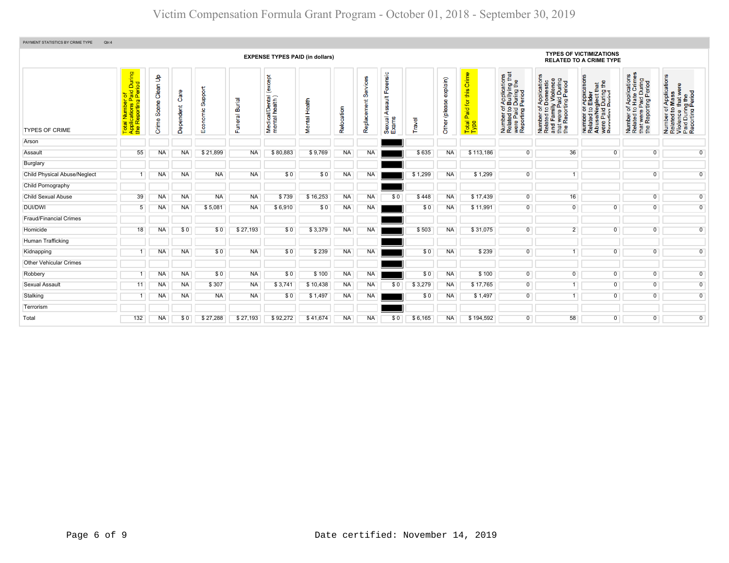| PAYMENT STATISTICS BY CRIME TYPE<br>Qtr:4 |                                                                                                                |                              |                   |                         |                          |                                             |                         |            |                         |                                                          |         |                           |                                                |                                                                                                                      |                                                                                                                       |                                                                                                                                                          |                                                                                                                           |                                                                                                        |  |  |  |  |  |
|-------------------------------------------|----------------------------------------------------------------------------------------------------------------|------------------------------|-------------------|-------------------------|--------------------------|---------------------------------------------|-------------------------|------------|-------------------------|----------------------------------------------------------|---------|---------------------------|------------------------------------------------|----------------------------------------------------------------------------------------------------------------------|-----------------------------------------------------------------------------------------------------------------------|----------------------------------------------------------------------------------------------------------------------------------------------------------|---------------------------------------------------------------------------------------------------------------------------|--------------------------------------------------------------------------------------------------------|--|--|--|--|--|
|                                           | <b>EXPENSE TYPES PAID (in dollars)</b>                                                                         |                              |                   |                         |                          |                                             |                         |            |                         |                                                          |         |                           |                                                |                                                                                                                      |                                                                                                                       | <b>TYPES OF VICTIMIZATIONS</b><br><b>RELATED TO A CRIME TYPE</b>                                                                                         |                                                                                                                           |                                                                                                        |  |  |  |  |  |
| <b>TYPES OF CRIME</b>                     | During<br>iod<br>al Number of<br>plications Paid I<br>Reporting Perio<br>$\overline{\mathfrak{m}}$<br>ㅎㅎ<br>⊢∢ | ક<br>Clean<br>Scene<br>Crime | Ő<br>pendent<br>ዳ | upport<br>ശ<br>Economic | <b>Burial</b><br>Funeral | except)<br>Medical/Dental<br>mental health) | Health<br><b>Mental</b> | Relocation | Services<br>Replacement | Forensic<br>$\frac{4}{10}$<br>Y,<br>⋖<br>Sexual<br>Exams | Travel  | explain)<br>Other (please | Crim<br>this<br>aid for<br>ő.<br>Total<br>Type | rf Applications<br>b Bullying that<br>Period<br>Period<br>e 5<br>were Paid<br>Reporting<br>Number<br>Related t<br>டீ | Number of Applications<br>Related to Domestic<br>and Family Violence<br>that were Paid During<br>the Reporting Period | TApplication<br>b Elder<br>9glect that<br>I During the<br>Pariod<br>Number of <i>I</i><br>Related to <b>E</b><br>Abuse/Neg<br>were Paid L<br>Renorting P | mber of Applications<br>lated to Hate Crimes<br>at were Paid During<br>9 Reporting Period<br>Number<br>Related t<br>the L | Number of Applications<br>Related to Mass<br>Violence that were<br>Paid During the<br>Reporting Period |  |  |  |  |  |
| Arson                                     |                                                                                                                |                              |                   |                         |                          |                                             |                         |            |                         |                                                          |         |                           |                                                |                                                                                                                      |                                                                                                                       |                                                                                                                                                          |                                                                                                                           |                                                                                                        |  |  |  |  |  |
| Assault                                   | 55                                                                                                             | NA                           | NA                | \$21,899                | <b>NA</b>                | \$80,883                                    | \$9,769                 | <b>NA</b>  | NA                      |                                                          | \$635   | <b>NA</b>                 | \$113,186                                      | $\overline{0}$                                                                                                       | 36                                                                                                                    | $\overline{0}$                                                                                                                                           | $\overline{0}$                                                                                                            | $\overline{0}$                                                                                         |  |  |  |  |  |
| Burglary                                  |                                                                                                                |                              |                   |                         |                          |                                             |                         |            |                         |                                                          |         |                           |                                                |                                                                                                                      |                                                                                                                       |                                                                                                                                                          |                                                                                                                           |                                                                                                        |  |  |  |  |  |
| Child Physical Abuse/Neglect              |                                                                                                                | ΝA                           | <b>NA</b>         | <b>NA</b>               | <b>NA</b>                | \$0                                         | \$0                     | <b>NA</b>  | NA                      |                                                          | \$1,299 | <b>NA</b>                 | \$1,299                                        | $\overline{0}$                                                                                                       | 1                                                                                                                     |                                                                                                                                                          | $\overline{0}$                                                                                                            | $\overline{0}$                                                                                         |  |  |  |  |  |
| Child Pornography                         |                                                                                                                |                              |                   |                         |                          |                                             |                         |            |                         |                                                          |         |                           |                                                |                                                                                                                      |                                                                                                                       |                                                                                                                                                          |                                                                                                                           |                                                                                                        |  |  |  |  |  |
| <b>Child Sexual Abuse</b>                 | 39                                                                                                             | <b>NA</b>                    | NA.               | <b>NA</b>               | <b>NA</b>                | \$739                                       | \$16,253                | <b>NA</b>  | NA                      | \$0                                                      | \$448   | <b>NA</b>                 | \$17,439                                       | $\overline{0}$                                                                                                       | 16                                                                                                                    |                                                                                                                                                          | $\overline{0}$                                                                                                            | $\overline{0}$                                                                                         |  |  |  |  |  |
| DUI/DWI                                   | 5                                                                                                              | ΝA                           | NA.               | \$5,081                 | <b>NA</b>                | \$6,910                                     | \$0                     | <b>NA</b>  | NA                      |                                                          | \$0     | <b>NA</b>                 | \$11,991                                       | $\overline{0}$                                                                                                       | $\Omega$                                                                                                              | $\overline{0}$                                                                                                                                           | $\Omega$                                                                                                                  | $\overline{0}$                                                                                         |  |  |  |  |  |
| <b>Fraud/Financial Crimes</b>             |                                                                                                                |                              |                   |                         |                          |                                             |                         |            |                         |                                                          |         |                           |                                                |                                                                                                                      |                                                                                                                       |                                                                                                                                                          |                                                                                                                           |                                                                                                        |  |  |  |  |  |
| Homicide                                  | 18                                                                                                             | NA                           | \$0               | \$0                     | \$27,193                 | \$0                                         | \$3,379                 | <b>NA</b>  | NA                      |                                                          | \$503   | <b>NA</b>                 | \$31,075                                       | $\overline{0}$                                                                                                       | $\overline{2}$                                                                                                        | $\overline{0}$                                                                                                                                           | $\overline{0}$                                                                                                            | $\overline{0}$                                                                                         |  |  |  |  |  |
| Human Trafficking                         |                                                                                                                |                              |                   |                         |                          |                                             |                         |            |                         |                                                          |         |                           |                                                |                                                                                                                      |                                                                                                                       |                                                                                                                                                          |                                                                                                                           |                                                                                                        |  |  |  |  |  |
| Kidnapping                                |                                                                                                                | <b>NA</b>                    | <b>NA</b>         | \$0                     | <b>NA</b>                | \$0                                         | \$239                   | <b>NA</b>  | <b>NA</b>               |                                                          | \$0     | <b>NA</b>                 | \$239                                          | $\overline{0}$                                                                                                       | 1                                                                                                                     | $\overline{0}$                                                                                                                                           | $\overline{0}$                                                                                                            | $\overline{0}$                                                                                         |  |  |  |  |  |
| <b>Other Vehicular Crimes</b>             |                                                                                                                |                              |                   |                         |                          |                                             |                         |            |                         |                                                          |         |                           |                                                |                                                                                                                      |                                                                                                                       |                                                                                                                                                          |                                                                                                                           |                                                                                                        |  |  |  |  |  |
| Robbery                                   |                                                                                                                | NA                           | NA.               | \$0                     | <b>NA</b>                | \$0                                         | \$100                   | <b>NA</b>  | NA                      |                                                          | \$0     | NA                        | \$100                                          | $\overline{0}$                                                                                                       | $\overline{0}$                                                                                                        | $\overline{0}$                                                                                                                                           | $\overline{0}$                                                                                                            | $\overline{0}$                                                                                         |  |  |  |  |  |
| <b>Sexual Assault</b>                     | 11                                                                                                             | <b>NA</b>                    | <b>NA</b>         | \$307                   | <b>NA</b>                | \$3,741                                     | \$10,438                | <b>NA</b>  | <b>NA</b>               | \$0                                                      | \$3,279 | <b>NA</b>                 | \$17,765                                       | $\overline{0}$                                                                                                       | 1                                                                                                                     | $\overline{0}$                                                                                                                                           | $\overline{0}$                                                                                                            | $\overline{0}$                                                                                         |  |  |  |  |  |
| Stalking                                  |                                                                                                                | <b>NA</b>                    | <b>NA</b>         | <b>NA</b>               | <b>NA</b>                | \$0                                         | \$1,497                 | <b>NA</b>  | <b>NA</b>               |                                                          | \$0     | <b>NA</b>                 | \$1,497                                        | $\overline{0}$                                                                                                       | 1                                                                                                                     | $\overline{0}$                                                                                                                                           | $\overline{0}$                                                                                                            | $\overline{0}$                                                                                         |  |  |  |  |  |
| Terrorism                                 |                                                                                                                |                              |                   |                         |                          |                                             |                         |            |                         |                                                          |         |                           |                                                |                                                                                                                      |                                                                                                                       |                                                                                                                                                          |                                                                                                                           |                                                                                                        |  |  |  |  |  |
| Total                                     | 132                                                                                                            | <b>NA</b>                    | \$0               | \$27,288                | \$27,193                 | \$92,272                                    | \$41,674                | <b>NA</b>  | NA                      | \$0                                                      | \$6,165 | <b>NA</b>                 | \$194,592                                      | $\mathbf{0}$                                                                                                         | 58                                                                                                                    | $\Omega$                                                                                                                                                 | $\overline{0}$                                                                                                            | $\overline{0}$                                                                                         |  |  |  |  |  |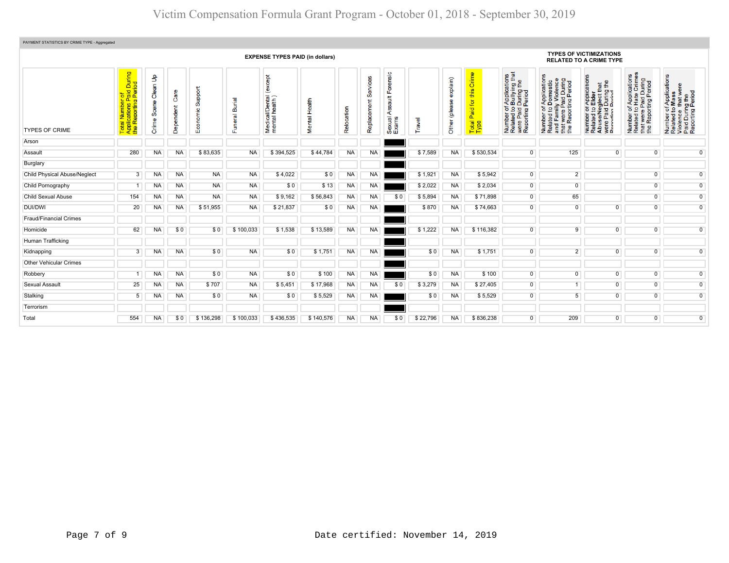| PAYMENT STATISTICS BY CRIME TYPE - Aggregated |                                                                         |                            |                   |                              |                           |                                              |               |            |                               |                                            |          |                         |                                                                  |                                                                                                                                 |                                                                                                                       |                                                                                                                                                    |                                                                                                                                  |                                                                                                        |
|-----------------------------------------------|-------------------------------------------------------------------------|----------------------------|-------------------|------------------------------|---------------------------|----------------------------------------------|---------------|------------|-------------------------------|--------------------------------------------|----------|-------------------------|------------------------------------------------------------------|---------------------------------------------------------------------------------------------------------------------------------|-----------------------------------------------------------------------------------------------------------------------|----------------------------------------------------------------------------------------------------------------------------------------------------|----------------------------------------------------------------------------------------------------------------------------------|--------------------------------------------------------------------------------------------------------|
| <b>EXPENSE TYPES PAID (in dollars)</b>        |                                                                         |                            |                   |                              |                           |                                              |               |            |                               |                                            |          |                         | <b>TYPES OF VICTIMIZATIONS</b><br><b>RELATED TO A CRIME TYPE</b> |                                                                                                                                 |                                                                                                                       |                                                                                                                                                    |                                                                                                                                  |                                                                                                        |
| <b>TYPES OF CRIME</b>                         | During<br>Total Number of<br>Applications Paid I<br>the Reporting Perio | Clean Up<br>Scene<br>Crime | Care<br>Dependent | upport<br>ശ്<br>ic<br>8<br>ш | lein<br>മ്<br>uneral<br>ū | except<br>Medical/Dental (<br>mental health) | Mental Health | Relocation | 8<br>š<br>မ်ိဳ<br>Replacement | Forensic<br>ssault<br>₹<br>Sexual<br>Exams | ravel    | explain)<br>Other (plea | Crime<br>this<br>Paid for<br>Total<br>Type                       | f Applications<br>b Bullying that<br>I During the<br>Period<br>Number of <i>I</i><br>Related to I<br>were Paid I<br>Reporting F | Number of Applications<br>Related to Domestic<br>and Family Violence<br>that were Paid During<br>the Reporting Period | TApplications<br>b Elder<br>eglect that<br>I During the<br>Period<br>Number of /<br>Related to <b>E</b><br>Abuse/Neg<br>were Paid L<br>Reporting P | Applications<br>Hate Crimes<br>t were Paid During<br>· Reporting Period<br>$\frac{1}{6}$<br>Number<br>Related t<br>that<br>the F | Number of Applications<br>Related to Mass<br>Violence that were<br>Paid During the<br>Reporting Period |
| Arson                                         |                                                                         |                            |                   |                              |                           |                                              |               |            |                               |                                            |          |                         |                                                                  |                                                                                                                                 |                                                                                                                       |                                                                                                                                                    |                                                                                                                                  |                                                                                                        |
| Assault                                       | 280                                                                     | NA                         | <b>NA</b>         | \$83,635                     | <b>NA</b>                 | \$394,525                                    | \$44,784      | NA.        | NA.                           |                                            | \$7,589  | <b>NA</b>               | \$530,534                                                        | $\overline{0}$                                                                                                                  | 125                                                                                                                   | $\Omega$                                                                                                                                           | $\overline{0}$                                                                                                                   | $\overline{0}$                                                                                         |
| Burglary                                      |                                                                         |                            |                   |                              |                           |                                              |               |            |                               |                                            |          |                         |                                                                  |                                                                                                                                 |                                                                                                                       |                                                                                                                                                    |                                                                                                                                  |                                                                                                        |
| <b>Child Physical Abuse/Neglect</b>           | 3                                                                       | <b>NA</b>                  | <b>NA</b>         | <b>NA</b>                    | <b>NA</b>                 | \$4,022                                      | \$0           | NA         | <b>NA</b>                     |                                            | \$1,921  | <b>NA</b>               | \$5,942                                                          | $\overline{0}$                                                                                                                  | $\overline{2}$                                                                                                        |                                                                                                                                                    | $\overline{0}$                                                                                                                   | $\overline{0}$                                                                                         |
| Child Pornography                             |                                                                         | NA                         | <b>NA</b>         | <b>NA</b>                    | <b>NA</b>                 | \$0                                          | \$13          | NA         | <b>NA</b>                     |                                            | \$2,022  | <b>NA</b>               | \$2,034                                                          | $\overline{0}$                                                                                                                  | $\overline{0}$                                                                                                        |                                                                                                                                                    | $\overline{0}$                                                                                                                   | $\overline{0}$                                                                                         |
| <b>Child Sexual Abuse</b>                     | 154                                                                     | NA                         | <b>NA</b>         | <b>NA</b>                    | <b>NA</b>                 | \$9,162                                      | \$56,843      | NA.        | <b>NA</b>                     | \$0                                        | \$5,894  | <b>NA</b>               | \$71,898                                                         | $\overline{0}$                                                                                                                  | 65                                                                                                                    |                                                                                                                                                    | $\overline{0}$                                                                                                                   | $\overline{0}$                                                                                         |
| DUI/DWI                                       | 20                                                                      | NA                         | <b>NA</b>         | \$51,955                     | <b>NA</b>                 | \$21,837                                     | \$0           | NA.        | NA.                           |                                            | \$870    | <b>NA</b>               | \$74,663                                                         | $\overline{0}$                                                                                                                  | $\Omega$                                                                                                              | $\overline{0}$                                                                                                                                     | $\overline{0}$                                                                                                                   | $\overline{0}$                                                                                         |
| <b>Fraud/Financial Crimes</b>                 |                                                                         |                            |                   |                              |                           |                                              |               |            |                               |                                            |          |                         |                                                                  |                                                                                                                                 |                                                                                                                       |                                                                                                                                                    |                                                                                                                                  |                                                                                                        |
| Homicide                                      | 62                                                                      | NA                         | \$0               | \$0                          | \$100,033                 | \$1,538                                      | \$13,589      | NA         | <b>NA</b>                     |                                            | \$1,222  | <b>NA</b>               | \$116,382                                                        | $\overline{0}$                                                                                                                  | $\overline{9}$                                                                                                        | $\overline{0}$                                                                                                                                     | $\overline{0}$                                                                                                                   | $\overline{0}$                                                                                         |
| Human Trafficking                             |                                                                         |                            |                   |                              |                           |                                              |               |            |                               |                                            |          |                         |                                                                  |                                                                                                                                 |                                                                                                                       |                                                                                                                                                    |                                                                                                                                  |                                                                                                        |
| Kidnapping                                    | 3                                                                       | NA.                        | <b>NA</b>         | \$0                          | <b>NA</b>                 | \$0                                          | \$1,751       | NA.        | <b>NA</b>                     |                                            | \$0      | <b>NA</b>               | \$1,751                                                          | 0                                                                                                                               | $\overline{2}$                                                                                                        | $\Omega$                                                                                                                                           | $\overline{0}$                                                                                                                   | $\overline{0}$                                                                                         |
| <b>Other Vehicular Crimes</b>                 |                                                                         |                            |                   |                              |                           |                                              |               |            |                               |                                            |          |                         |                                                                  |                                                                                                                                 |                                                                                                                       |                                                                                                                                                    |                                                                                                                                  |                                                                                                        |
| Robbery                                       |                                                                         | NA                         | <b>NA</b>         | \$0                          | <b>NA</b>                 | \$0                                          | \$100         | NA         | <b>NA</b>                     |                                            | \$0      | <b>NA</b>               | \$100                                                            | $\overline{0}$                                                                                                                  | $\overline{0}$                                                                                                        | $\overline{0}$                                                                                                                                     | $\overline{0}$                                                                                                                   | $\overline{0}$                                                                                         |
| Sexual Assault                                | 25                                                                      | NA                         | <b>NA</b>         | \$707                        | <b>NA</b>                 | \$5,451                                      | \$17,968      | NA         | <b>NA</b>                     | \$0                                        | \$3,279  | <b>NA</b>               | \$27,405                                                         | $\overline{0}$                                                                                                                  | $\overline{1}$                                                                                                        | $\overline{0}$                                                                                                                                     | $\overline{0}$                                                                                                                   | $\overline{0}$                                                                                         |
| Stalking                                      | 5                                                                       | NA                         | <b>NA</b>         | \$0                          | <b>NA</b>                 | \$0                                          | \$5,529       | NA         | NA                            |                                            | \$0      | <b>NA</b>               | \$5,529                                                          | $\overline{0}$                                                                                                                  | 5 <sup>5</sup>                                                                                                        | $\overline{0}$                                                                                                                                     | $\overline{0}$                                                                                                                   | $\overline{0}$                                                                                         |
| Terrorism                                     |                                                                         |                            |                   |                              |                           |                                              |               |            |                               |                                            |          |                         |                                                                  |                                                                                                                                 |                                                                                                                       |                                                                                                                                                    |                                                                                                                                  |                                                                                                        |
| Total                                         | 554                                                                     | <b>NA</b>                  | \$0               | \$136.298                    | \$100,033                 | \$436,535                                    | \$140,576     | <b>NA</b>  | <b>NA</b>                     | \$0                                        | \$22,796 | <b>NA</b>               | \$836.238                                                        | $\mathbf{0}$                                                                                                                    | 209                                                                                                                   | $\Omega$                                                                                                                                           | $\overline{0}$                                                                                                                   | $\overline{0}$                                                                                         |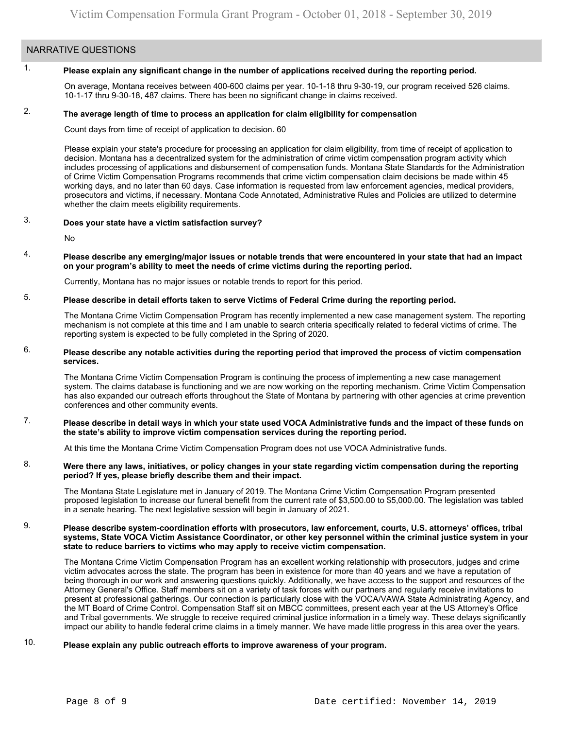## NARRATIVE QUESTIONS

2.

#### 1. **Please explain any significant change in the number of applications received during the reporting period.**

On average, Montana receives between 400-600 claims per year. 10-1-18 thru 9-30-19, our program received 526 claims. 10-1-17 thru 9-30-18, 487 claims. There has been no significant change in claims received.

### **The average length of time to process an application for claim eligibility for compensation**

Count days from time of receipt of application to decision. 60

Please explain your state's procedure for processing an application for claim eligibility, from time of receipt of application to decision. Montana has a decentralized system for the administration of crime victim compensation program activity which includes processing of applications and disbursement of compensation funds. Montana State Standards for the Administration of Crime Victim Compensation Programs recommends that crime victim compensation claim decisions be made within 45 working days, and no later than 60 days. Case information is requested from law enforcement agencies, medical providers, prosecutors and victims, if necessary. Montana Code Annotated, Administrative Rules and Policies are utilized to determine whether the claim meets eligibility requirements.

#### 3. **Does your state have a victim satisfaction survey?**

No

4. **Please describe any emerging/major issues or notable trends that were encountered in your state that had an impact on your program's ability to meet the needs of crime victims during the reporting period.**

Currently, Montana has no major issues or notable trends to report for this period.

#### 5. **Please describe in detail efforts taken to serve Victims of Federal Crime during the reporting period.**

The Montana Crime Victim Compensation Program has recently implemented a new case management system. The reporting mechanism is not complete at this time and I am unable to search criteria specifically related to federal victims of crime. The reporting system is expected to be fully completed in the Spring of 2020.

### 6. **Please describe any notable activities during the reporting period that improved the process of victim compensation services.**

The Montana Crime Victim Compensation Program is continuing the process of implementing a new case management system. The claims database is functioning and we are now working on the reporting mechanism. Crime Victim Compensation has also expanded our outreach efforts throughout the State of Montana by partnering with other agencies at crime prevention conferences and other community events.

### 7. **Please describe in detail ways in which your state used VOCA Administrative funds and the impact of these funds on the state's ability to improve victim compensation services during the reporting period.**

At this time the Montana Crime Victim Compensation Program does not use VOCA Administrative funds.

### 8. **Were there any laws, initiatives, or policy changes in your state regarding victim compensation during the reporting period? If yes, please briefly describe them and their impact.**

The Montana State Legislature met in January of 2019. The Montana Crime Victim Compensation Program presented proposed legislation to increase our funeral benefit from the current rate of [\\$3,500.00](https://3,500.00) to \$[5,000.00.](https://5,000.00) The legislation was tabled in a senate hearing. The next legislative session will begin in January of 2021.

### 9. **Please describe system-coordination efforts with prosecutors, law enforcement, courts, U.S. attorneys' offices, tribal systems, State VOCA Victim Assistance Coordinator, or other key personnel within the criminal justice system in your state to reduce barriers to victims who may apply to receive victim compensation.**

The Montana Crime Victim Compensation Program has an excellent working relationship with prosecutors, judges and crime victim advocates across the state. The program has been in existence for more than 40 years and we have a reputation of being thorough in our work and answering questions quickly. Additionally, we have access to the support and resources of the Attorney General's Office. Staff members sit on a variety of task forces with our partners and regularly receive invitations to present at professional gatherings. Our connection is particularly close with the VOCA/VAWA State Administrating Agency, and the MT Board of Crime Control. Compensation Staff sit on MBCC committees, present each year at the US Attorney's Office and Tribal governments. We struggle to receive required criminal justice information in a timely way. These delays significantly impact our ability to handle federal crime claims in a timely manner. We have made little progress in this area over the years.

### 10. **Please explain any public outreach efforts to improve awareness of your program.**